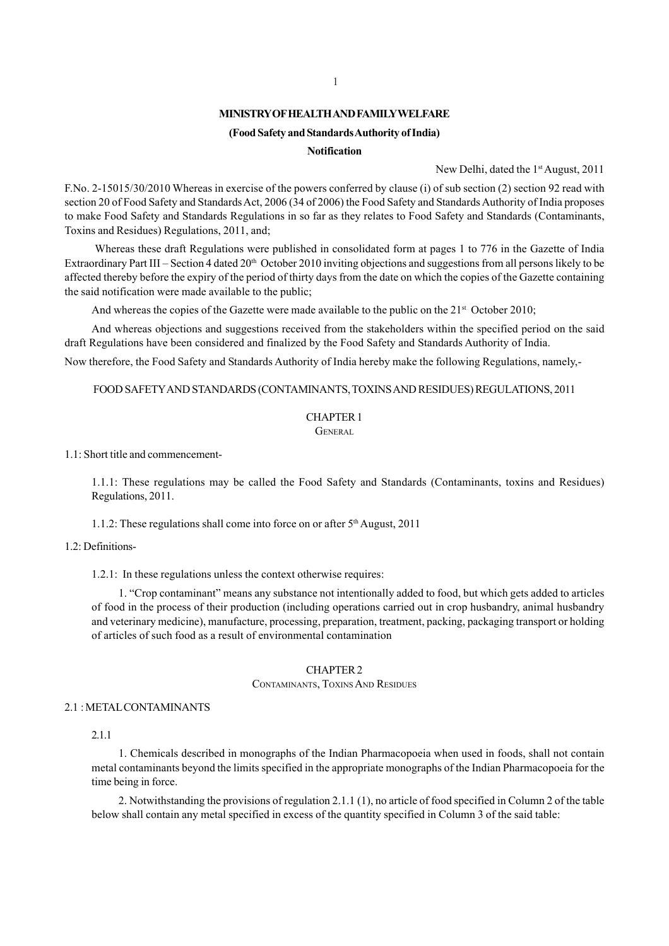## **MINISTRY OF HEALTH AND FAMILY WELFARE**

## **(Food Safety and Standards Authority of India)**

#### **Notification**

New Delhi, dated the 1<sup>st</sup> August, 2011

F.No. 2-15015/30/2010 Whereas in exercise of the powers conferred by clause (i) of sub section (2) section 92 read with section 20 of Food Safety and Standards Act, 2006 (34 of 2006) the Food Safety and Standards Authority of India proposes to make Food Safety and Standards Regulations in so far as they relates to Food Safety and Standards (Contaminants, Toxins and Residues) Regulations, 2011, and;

 Whereas these draft Regulations were published in consolidated form at pages 1 to 776 in the Gazette of India Extraordinary Part III – Section 4 dated  $20<sup>th</sup>$  October 2010 inviting objections and suggestions from all persons likely to be affected thereby before the expiry of the period of thirty days from the date on which the copies of the Gazette containing the said notification were made available to the public;

And whereas the copies of the Gazette were made available to the public on the  $21<sup>st</sup>$  October 2010;

And whereas objections and suggestions received from the stakeholders within the specified period on the said draft Regulations have been considered and finalized by the Food Safety and Standards Authority of India.

Now therefore, the Food Safety and Standards Authority of India hereby make the following Regulations, namely,-

## FOOD SAFETY AND STANDARDS (CONTAMINANTS, TOXINS AND RESIDUES) REGULATIONS, 2011

### CHAPTER 1

GENERAL

1.1: Short title and commencement-

1.1.1: These regulations may be called the Food Safety and Standards (Contaminants, toxins and Residues) Regulations, 2011.

1.1.2: These regulations shall come into force on or after  $5<sup>th</sup>$  August, 2011

#### 1.2: Definitions-

1.2.1: In these regulations unless the context otherwise requires:

1. "Crop contaminant" means any substance not intentionally added to food, but which gets added to articles of food in the process of their production (including operations carried out in crop husbandry, animal husbandry and veterinary medicine), manufacture, processing, preparation, treatment, packing, packaging transport or holding of articles of such food as a result of environmental contamination

### CHAPTER 2

CONTAMINANTS, TOXINS AND RESIDUES

## 2.1 : METAL CONTAMINANTS

## 2.1.1

1. Chemicals described in monographs of the Indian Pharmacopoeia when used in foods, shall not contain metal contaminants beyond the limits specified in the appropriate monographs of the Indian Pharmacopoeia for the time being in force.

2. Notwithstanding the provisions of regulation 2.1.1 (1), no article of food specified in Column 2 of the table below shall contain any metal specified in excess of the quantity specified in Column 3 of the said table: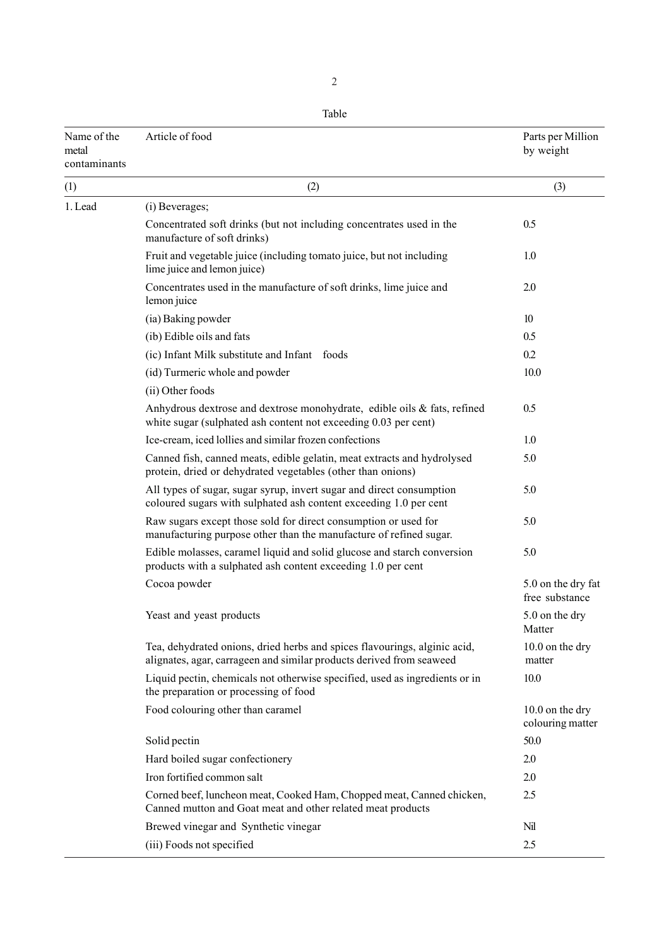Table

| Name of the<br>metal<br>contaminants | Article of food                                                                                                                                   | Parts per Million<br>by weight       |
|--------------------------------------|---------------------------------------------------------------------------------------------------------------------------------------------------|--------------------------------------|
| (1)                                  | (2)                                                                                                                                               | (3)                                  |
| 1. Lead                              | (i) Beverages;                                                                                                                                    |                                      |
|                                      | Concentrated soft drinks (but not including concentrates used in the<br>manufacture of soft drinks)                                               | 0.5                                  |
|                                      | Fruit and vegetable juice (including tomato juice, but not including<br>lime juice and lemon juice)                                               | 1.0                                  |
|                                      | Concentrates used in the manufacture of soft drinks, lime juice and<br>lemon juice                                                                | 2.0                                  |
|                                      | (ia) Baking powder                                                                                                                                | 10                                   |
|                                      | (ib) Edible oils and fats                                                                                                                         | 0.5                                  |
|                                      | (ic) Infant Milk substitute and Infant foods                                                                                                      | 0.2                                  |
|                                      | (id) Turmeric whole and powder                                                                                                                    | 10.0                                 |
|                                      | (ii) Other foods                                                                                                                                  |                                      |
|                                      | Anhydrous dextrose and dextrose monohydrate, edible oils & fats, refined<br>white sugar (sulphated ash content not exceeding 0.03 per cent)       | 0.5                                  |
|                                      | Ice-cream, iced lollies and similar frozen confections                                                                                            | 1.0                                  |
|                                      | Canned fish, canned meats, edible gelatin, meat extracts and hydrolysed<br>protein, dried or dehydrated vegetables (other than onions)            | 5.0                                  |
|                                      | All types of sugar, sugar syrup, invert sugar and direct consumption<br>coloured sugars with sulphated ash content exceeding 1.0 per cent         | 5.0                                  |
|                                      | Raw sugars except those sold for direct consumption or used for<br>manufacturing purpose other than the manufacture of refined sugar.             | 5.0                                  |
|                                      | Edible molasses, caramel liquid and solid glucose and starch conversion<br>products with a sulphated ash content exceeding 1.0 per cent           | 5.0                                  |
|                                      | Cocoa powder                                                                                                                                      | 5.0 on the dry fat<br>free substance |
|                                      | Yeast and yeast products                                                                                                                          | 5.0 on the dry<br>Matter             |
|                                      | Tea, dehydrated onions, dried herbs and spices flavourings, alginic acid,<br>alignates, agar, carrageen and similar products derived from seaweed | 10.0 on the dry<br>matter            |
|                                      | Liquid pectin, chemicals not otherwise specified, used as ingredients or in<br>the preparation or processing of food                              | 10.0                                 |
|                                      | Food colouring other than caramel                                                                                                                 | 10.0 on the dry<br>colouring matter  |
|                                      | Solid pectin                                                                                                                                      | 50.0                                 |
|                                      | Hard boiled sugar confectionery                                                                                                                   | 2.0                                  |
|                                      | Iron fortified common salt                                                                                                                        | 2.0                                  |
|                                      | Corned beef, luncheon meat, Cooked Ham, Chopped meat, Canned chicken,<br>Canned mutton and Goat meat and other related meat products              | 2.5                                  |
|                                      | Brewed vinegar and Synthetic vinegar                                                                                                              | Nil                                  |
|                                      | (iii) Foods not specified                                                                                                                         | 2.5                                  |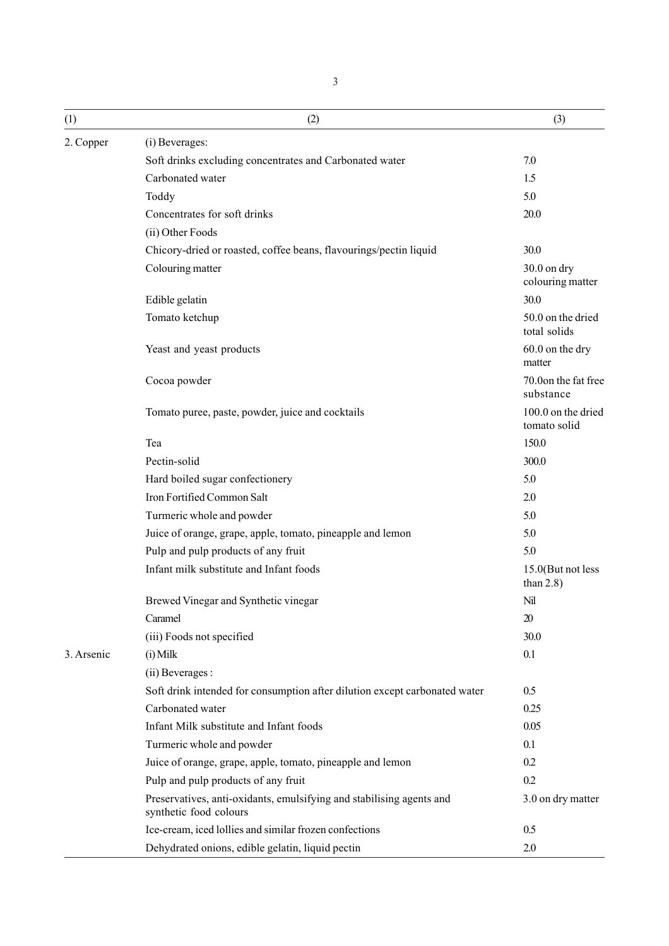| (1)        | (2)                                                                                            | (3)                                |
|------------|------------------------------------------------------------------------------------------------|------------------------------------|
| 2. Copper  | (i) Beverages:                                                                                 |                                    |
|            | Soft drinks excluding concentrates and Carbonated water                                        | 7.0                                |
|            | Carbonated water                                                                               | 1.5                                |
|            | Toddy                                                                                          | 5.0                                |
|            | Concentrates for soft drinks                                                                   | 20.0                               |
|            | (ii) Other Foods                                                                               |                                    |
|            | Chicory-dried or roasted, coffee beans, flavourings/pectin liquid                              | 30.0                               |
|            | Colouring matter                                                                               | $30.0$ on dry<br>colouring matter  |
|            | Edible gelatin                                                                                 | 30.0                               |
|            | Tomato ketchup                                                                                 | 50.0 on the dried<br>total solids  |
|            | Yeast and yeast products                                                                       | 60.0 on the dry<br>matter          |
|            | Cocoa powder                                                                                   | 70.0on the fat free<br>substance   |
|            | Tomato puree, paste, powder, juice and cocktails                                               | 100.0 on the dried<br>tomato solid |
|            | Tea                                                                                            | 150.0                              |
|            | Pectin-solid                                                                                   | 300.0                              |
|            | Hard boiled sugar confectionery                                                                | 5.0                                |
|            | Iron Fortified Common Salt                                                                     | 2.0                                |
|            | Turmeric whole and powder                                                                      | 5.0                                |
|            | Juice of orange, grape, apple, tomato, pineapple and lemon                                     | 5.0                                |
|            | Pulp and pulp products of any fruit                                                            | 5.0                                |
|            | Infant milk substitute and Infant foods                                                        | 15.0(But not less<br>than $2.8$ )  |
|            | Brewed Vinegar and Synthetic vinegar                                                           | Nil                                |
|            | Caramel                                                                                        | 20                                 |
|            | (iii) Foods not specified                                                                      | 30.0                               |
| 3. Arsenic | $(i)$ Milk                                                                                     | 0.1                                |
|            | (ii) Beverages :                                                                               |                                    |
|            | Soft drink intended for consumption after dilution except carbonated water                     | 0.5                                |
|            | Carbonated water                                                                               | 0.25                               |
|            | Infant Milk substitute and Infant foods                                                        | 0.05                               |
|            | Turmeric whole and powder                                                                      | 0.1                                |
|            | Juice of orange, grape, apple, tomato, pineapple and lemon                                     | 0.2                                |
|            | Pulp and pulp products of any fruit                                                            | 0.2                                |
|            | Preservatives, anti-oxidants, emulsifying and stabilising agents and<br>synthetic food colours | 3.0 on dry matter                  |
|            | Ice-cream, iced lollies and similar frozen confections                                         | 0.5                                |
|            | Dehydrated onions, edible gelatin, liquid pectin                                               | 2.0                                |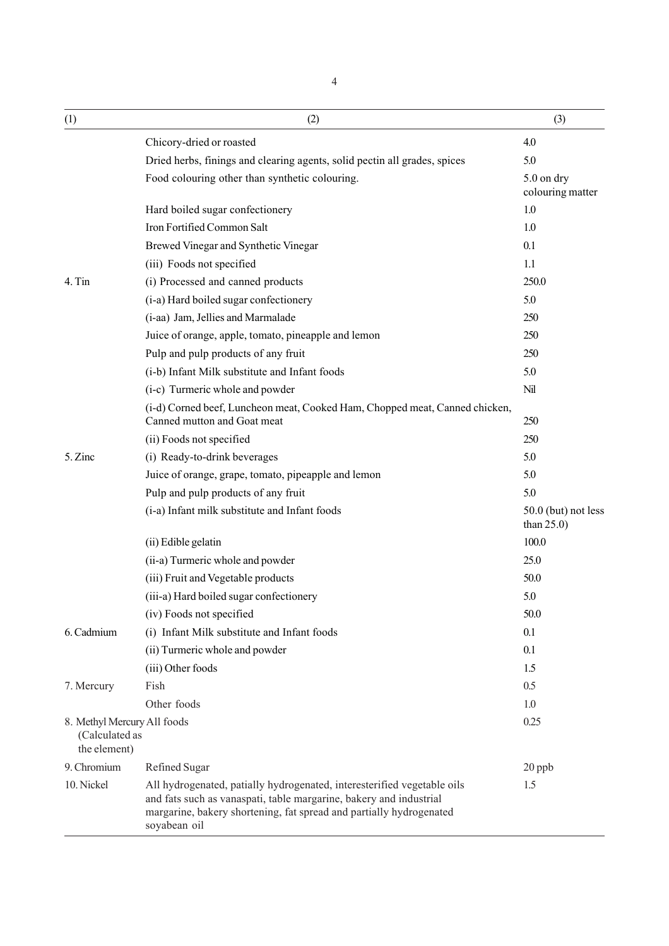| (1)                                                           | (2)                                                                                                                                                                                                                                  | (3)                                  |
|---------------------------------------------------------------|--------------------------------------------------------------------------------------------------------------------------------------------------------------------------------------------------------------------------------------|--------------------------------------|
|                                                               | Chicory-dried or roasted                                                                                                                                                                                                             | 4.0                                  |
|                                                               | Dried herbs, finings and clearing agents, solid pectin all grades, spices                                                                                                                                                            | 5.0                                  |
|                                                               | Food colouring other than synthetic colouring.                                                                                                                                                                                       | 5.0 on dry<br>colouring matter       |
|                                                               | Hard boiled sugar confectionery                                                                                                                                                                                                      | 1.0                                  |
|                                                               | Iron Fortified Common Salt                                                                                                                                                                                                           | 1.0                                  |
|                                                               | Brewed Vinegar and Synthetic Vinegar                                                                                                                                                                                                 | 0.1                                  |
|                                                               | (iii) Foods not specified                                                                                                                                                                                                            | 1.1                                  |
| 4. Tin                                                        | (i) Processed and canned products                                                                                                                                                                                                    | 250.0                                |
|                                                               | (i-a) Hard boiled sugar confectionery                                                                                                                                                                                                | 5.0                                  |
|                                                               | (i-aa) Jam, Jellies and Marmalade                                                                                                                                                                                                    | 250                                  |
|                                                               | Juice of orange, apple, tomato, pineapple and lemon                                                                                                                                                                                  | 250                                  |
|                                                               | Pulp and pulp products of any fruit                                                                                                                                                                                                  | 250                                  |
|                                                               | (i-b) Infant Milk substitute and Infant foods                                                                                                                                                                                        | 5.0                                  |
|                                                               | (i-c) Turmeric whole and powder                                                                                                                                                                                                      | Nil                                  |
|                                                               | (i-d) Corned beef, Luncheon meat, Cooked Ham, Chopped meat, Canned chicken,<br>Canned mutton and Goat meat                                                                                                                           | 250                                  |
|                                                               | (ii) Foods not specified                                                                                                                                                                                                             | 250                                  |
| 5. Zinc                                                       | (i) Ready-to-drink beverages                                                                                                                                                                                                         | 5.0                                  |
|                                                               | Juice of orange, grape, tomato, pipeapple and lemon                                                                                                                                                                                  | 5.0                                  |
|                                                               | Pulp and pulp products of any fruit                                                                                                                                                                                                  | 5.0                                  |
|                                                               | (i-a) Infant milk substitute and Infant foods                                                                                                                                                                                        | 50.0 (but) not less<br>than $25.0$ ) |
|                                                               | (ii) Edible gelatin                                                                                                                                                                                                                  | 100.0                                |
|                                                               | (ii-a) Turmeric whole and powder                                                                                                                                                                                                     | 25.0                                 |
|                                                               | (iii) Fruit and Vegetable products                                                                                                                                                                                                   | 50.0                                 |
|                                                               | (iii-a) Hard boiled sugar confectionery                                                                                                                                                                                              | 5.0                                  |
|                                                               | (iv) Foods not specified                                                                                                                                                                                                             | 50.0                                 |
| 6. Cadmium                                                    | (i) Infant Milk substitute and Infant foods                                                                                                                                                                                          | 0.1                                  |
|                                                               | (ii) Turmeric whole and powder                                                                                                                                                                                                       | 0.1                                  |
|                                                               | (iii) Other foods                                                                                                                                                                                                                    | 1.5                                  |
| 7. Mercury                                                    | Fish                                                                                                                                                                                                                                 | 0.5                                  |
|                                                               | Other foods                                                                                                                                                                                                                          | 1.0                                  |
| 8. Methyl Mercury All foods<br>(Calculated as<br>the element) |                                                                                                                                                                                                                                      | 0.25                                 |
| 9. Chromium                                                   | Refined Sugar                                                                                                                                                                                                                        | $20$ ppb                             |
| 10. Nickel                                                    | All hydrogenated, patially hydrogenated, interesterified vegetable oils<br>and fats such as vanaspati, table margarine, bakery and industrial<br>margarine, bakery shortening, fat spread and partially hydrogenated<br>soyabean oil | 1.5                                  |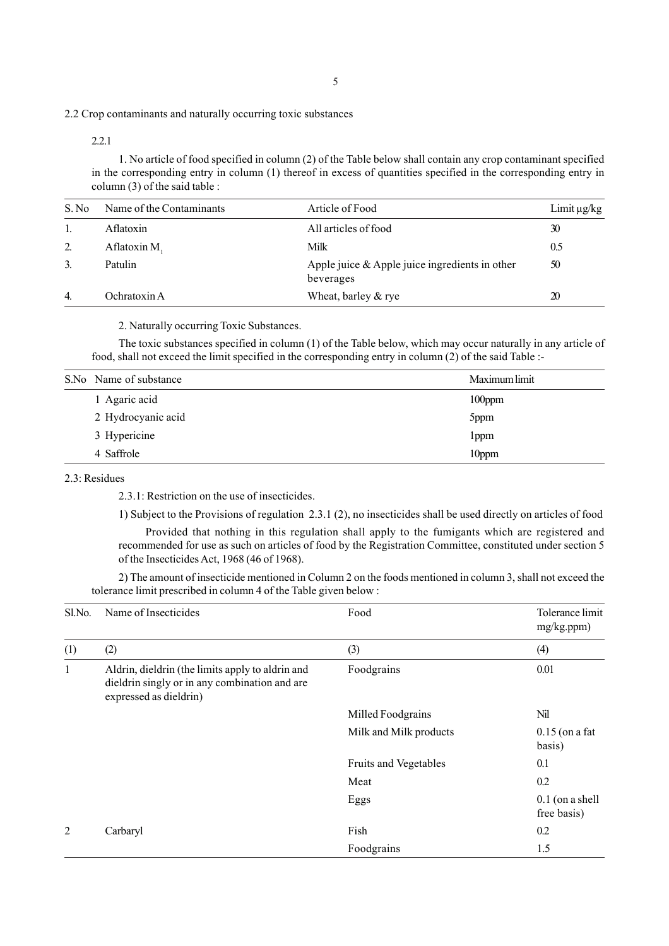2.2 Crop contaminants and naturally occurring toxic substances

2.2.1

1. No article of food specified in column (2) of the Table below shall contain any crop contaminant specified in the corresponding entry in column (1) thereof in excess of quantities specified in the corresponding entry in column (3) of the said table :

| S. No          | Name of the Contaminants | Article of Food                                                | Limit $\mu$ g/kg |
|----------------|--------------------------|----------------------------------------------------------------|------------------|
|                | Aflatoxin                | All articles of food                                           | 30               |
| 2.             | Aflatoxin M.             | Milk                                                           | 0.5              |
| 3.             | Patulin                  | Apple juice $\&$ Apple juice ingredients in other<br>beverages | 50               |
| $\overline{4}$ | Ochratoxin A             | Wheat, barley & rye                                            | 20               |

2. Naturally occurring Toxic Substances.

The toxic substances specified in column (1) of the Table below, which may occur naturally in any article of food, shall not exceed the limit specified in the corresponding entry in column (2) of the said Table :-

| S.No Name of substance | Maximum limit     |
|------------------------|-------------------|
| 1 Agaric acid          | $100$ ppm         |
| 2 Hydrocyanic acid     | 5ppm              |
| 3 Hypericine           | lppm              |
| 4 Saffrole             | 10 <sub>ppm</sub> |

2.3: Residues

2.3.1: Restriction on the use of insecticides.

1) Subject to the Provisions of regulation 2.3.1 (2), no insecticides shall be used directly on articles of food

Provided that nothing in this regulation shall apply to the fumigants which are registered and recommended for use as such on articles of food by the Registration Committee, constituted under section 5 of the Insecticides Act, 1968 (46 of 1968).

2) The amount of insecticide mentioned in Column 2 on the foods mentioned in column 3, shall not exceed the tolerance limit prescribed in column 4 of the Table given below :

| Sl.No. | Name of Insecticides                                                                                                        | Food                   | Tolerance limit<br>mg/kg.ppm)    |
|--------|-----------------------------------------------------------------------------------------------------------------------------|------------------------|----------------------------------|
| (1)    | (2)                                                                                                                         | (3)                    | (4)                              |
| 1      | Aldrin, dieldrin (the limits apply to aldrin and<br>dieldrin singly or in any combination and are<br>expressed as dieldrin) | Foodgrains             | 0.01                             |
|        |                                                                                                                             | Milled Foodgrains      | Nil                              |
|        |                                                                                                                             | Milk and Milk products | $0.15$ (on a fat<br>basis)       |
|        |                                                                                                                             | Fruits and Vegetables  | 0.1                              |
|        |                                                                                                                             | Meat                   | 0.2                              |
|        |                                                                                                                             | Eggs                   | $0.1$ (on a shell<br>free basis) |
| 2      | Carbaryl                                                                                                                    | Fish                   | 0.2                              |
|        |                                                                                                                             | Foodgrains             | 1.5                              |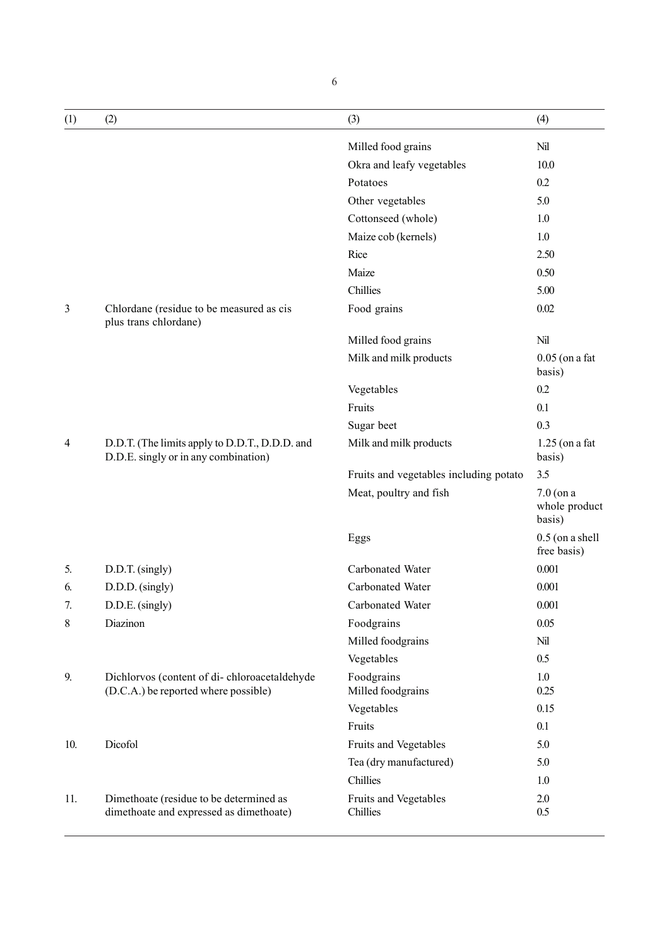| (1) | (2)                                                                                    | (3)                                    | (4)                                    |
|-----|----------------------------------------------------------------------------------------|----------------------------------------|----------------------------------------|
|     |                                                                                        | Milled food grains                     | Nil                                    |
|     |                                                                                        | Okra and leafy vegetables              | 10.0                                   |
|     |                                                                                        | Potatoes                               | 0.2                                    |
|     |                                                                                        | Other vegetables                       | 5.0                                    |
|     |                                                                                        | Cottonseed (whole)                     | 1.0                                    |
|     |                                                                                        | Maize cob (kernels)                    | 1.0                                    |
|     |                                                                                        | Rice                                   | 2.50                                   |
|     |                                                                                        | Maize                                  | 0.50                                   |
|     |                                                                                        | Chillies                               | 5.00                                   |
| 3   | Chlordane (residue to be measured as cis<br>plus trans chlordane)                      | Food grains                            | 0.02                                   |
|     |                                                                                        | Milled food grains                     | Nil                                    |
|     |                                                                                        | Milk and milk products                 | $0.05$ (on a fat<br>basis)             |
|     |                                                                                        | Vegetables                             | 0.2                                    |
|     |                                                                                        | Fruits                                 | 0.1                                    |
|     |                                                                                        | Sugar beet                             | 0.3                                    |
| 4   | D.D.T. (The limits apply to D.D.T., D.D.D. and<br>D.D.E. singly or in any combination) | Milk and milk products                 | $1.25$ (on a fat<br>basis)             |
|     |                                                                                        | Fruits and vegetables including potato | 3.5                                    |
|     |                                                                                        | Meat, poultry and fish                 | $7.0$ (on a<br>whole product<br>basis) |
|     |                                                                                        | Eggs                                   | $0.5$ (on a shell<br>free basis)       |
| 5.  | D.D.T. (singly)                                                                        | Carbonated Water                       | 0.001                                  |
| 6.  | $D.D.D.$ (singly)                                                                      | Carbonated Water                       | 0.001                                  |
| 7.  | D.D.E. (singly)                                                                        | Carbonated Water                       | 0.001                                  |
| 8   | Diazinon                                                                               | Foodgrains                             | 0.05                                   |
|     |                                                                                        | Milled foodgrains                      | Nil                                    |
|     |                                                                                        | Vegetables                             | 0.5                                    |
| 9.  | Dichlorvos (content of di-chloroacetaldehyde<br>(D.C.A.) be reported where possible)   | Foodgrains<br>Milled foodgrains        | 1.0<br>0.25                            |
|     |                                                                                        | Vegetables                             | 0.15                                   |
|     |                                                                                        | Fruits                                 | 0.1                                    |
| 10. | Dicofol                                                                                | Fruits and Vegetables                  | 5.0                                    |
|     |                                                                                        | Tea (dry manufactured)                 | 5.0                                    |
|     |                                                                                        | Chillies                               | 1.0                                    |
| 11. | Dimethoate (residue to be determined as<br>dimethoate and expressed as dimethoate)     | Fruits and Vegetables<br>Chillies      | 2.0<br>0.5                             |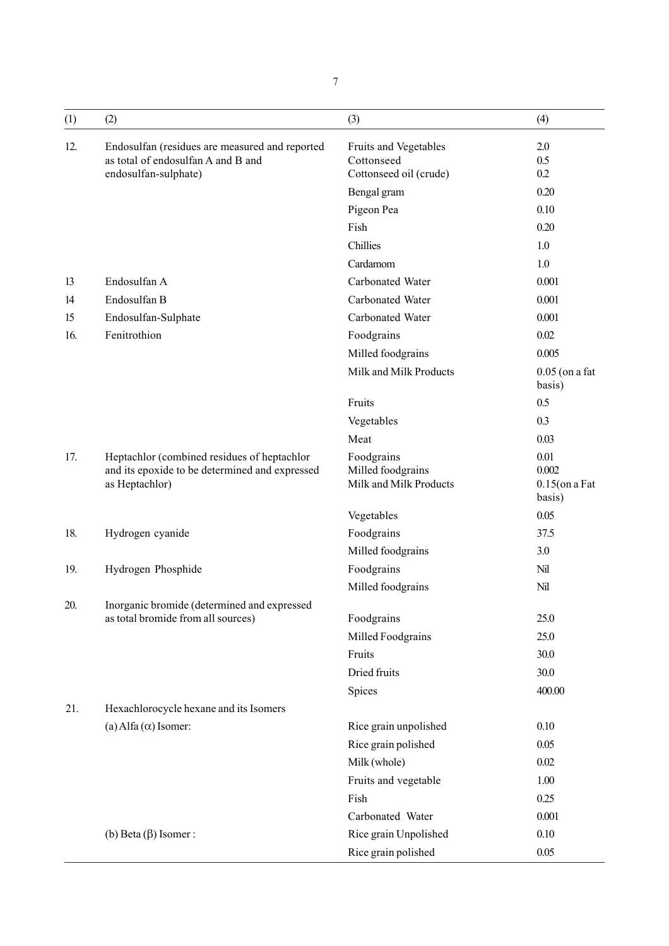| (1) | (2)                                                                                                             | (3)                                                       | (4)                                         |
|-----|-----------------------------------------------------------------------------------------------------------------|-----------------------------------------------------------|---------------------------------------------|
| 12. | Endosulfan (residues are measured and reported<br>as total of endosulfan A and B and                            | Fruits and Vegetables<br>Cottonseed                       | 2.0<br>0.5<br>0.2                           |
|     | endosulfan-sulphate)                                                                                            | Cottonseed oil (crude)<br>Bengal gram                     | 0.20                                        |
|     |                                                                                                                 | Pigeon Pea                                                | 0.10                                        |
|     |                                                                                                                 | Fish                                                      | 0.20                                        |
|     |                                                                                                                 | Chillies                                                  | 1.0                                         |
|     |                                                                                                                 | Cardamom                                                  | 1.0                                         |
| 13  | Endosulfan A                                                                                                    | Carbonated Water                                          | 0.001                                       |
| 14  | Endosulfan B                                                                                                    | Carbonated Water                                          | 0.001                                       |
| 15  |                                                                                                                 | Carbonated Water                                          | 0.001                                       |
| 16. | Endosulfan-Sulphate<br>Fenitrothion                                                                             |                                                           | 0.02                                        |
|     |                                                                                                                 | Foodgrains                                                | 0.005                                       |
|     |                                                                                                                 | Milled foodgrains                                         |                                             |
|     |                                                                                                                 | Milk and Milk Products                                    | $0.05$ (on a fat<br>basis)                  |
|     |                                                                                                                 | Fruits                                                    | 0.5                                         |
|     |                                                                                                                 | Vegetables                                                | 0.3                                         |
|     |                                                                                                                 | Meat                                                      | 0.03                                        |
| 17. | Heptachlor (combined residues of heptachlor<br>and its epoxide to be determined and expressed<br>as Heptachlor) | Foodgrains<br>Milled foodgrains<br>Milk and Milk Products | 0.01<br>0.002<br>$0.15$ (on a Fat<br>basis) |
|     |                                                                                                                 | Vegetables                                                | 0.05                                        |
| 18. | Hydrogen cyanide                                                                                                | Foodgrains                                                | 37.5                                        |
|     |                                                                                                                 | Milled foodgrains                                         | 3.0                                         |
| 19. | Hydrogen Phosphide                                                                                              | Foodgrains                                                | Nil                                         |
|     |                                                                                                                 | Milled foodgrains                                         | Nil                                         |
| 20. | Inorganic bromide (determined and expressed                                                                     |                                                           |                                             |
|     | as total bromide from all sources)                                                                              | Foodgrains                                                | 25.0                                        |
|     |                                                                                                                 | Milled Foodgrains                                         | 25.0                                        |
|     |                                                                                                                 | Fruits                                                    | 30.0                                        |
|     |                                                                                                                 | Dried fruits                                              | 30.0                                        |
|     |                                                                                                                 | Spices                                                    | 400.00                                      |
| 21. | Hexachlorocycle hexane and its Isomers                                                                          |                                                           |                                             |
|     | (a) Alfa $(\alpha)$ Isomer:                                                                                     | Rice grain unpolished                                     | 0.10                                        |
|     |                                                                                                                 | Rice grain polished                                       | 0.05                                        |
|     |                                                                                                                 | Milk (whole)                                              | 0.02                                        |
|     |                                                                                                                 | Fruits and vegetable                                      | 1.00                                        |
|     |                                                                                                                 | Fish                                                      | 0.25                                        |
|     |                                                                                                                 | Carbonated Water                                          | 0.001                                       |
|     | (b) Beta $(\beta)$ Isomer :                                                                                     | Rice grain Unpolished                                     | 0.10                                        |
|     |                                                                                                                 | Rice grain polished                                       | 0.05                                        |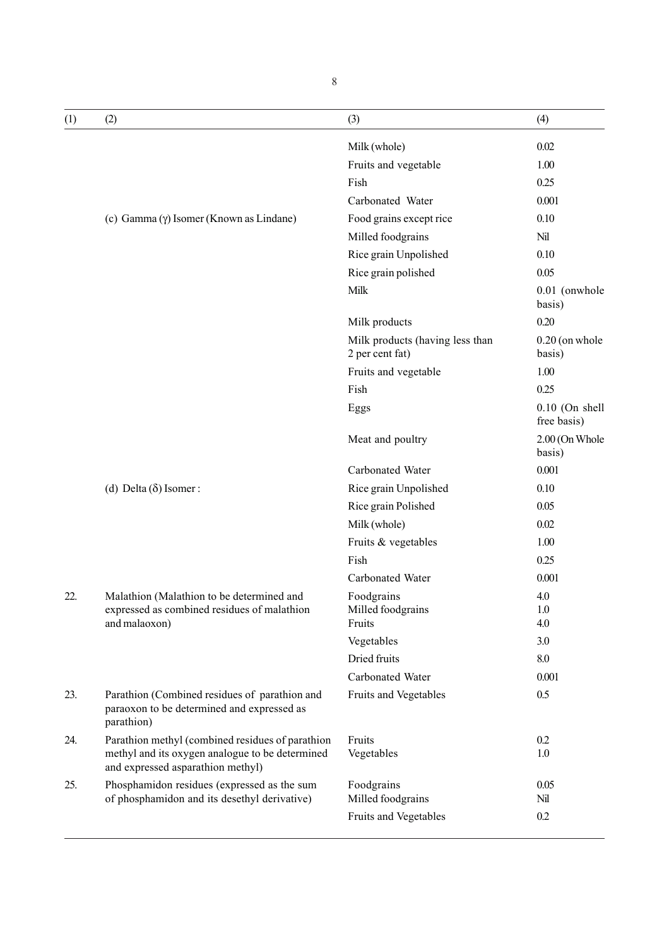| (1) | (2)                                                                                                                                      | (3)                                                | (4)                             |
|-----|------------------------------------------------------------------------------------------------------------------------------------------|----------------------------------------------------|---------------------------------|
|     |                                                                                                                                          | Milk (whole)                                       | 0.02                            |
|     |                                                                                                                                          | Fruits and vegetable                               | 1.00                            |
|     |                                                                                                                                          | Fish                                               | 0.25                            |
|     |                                                                                                                                          | Carbonated Water                                   | 0.001                           |
|     | (c) Gamma (γ) Isomer (Known as Lindane)                                                                                                  | Food grains except rice                            | 0.10                            |
|     |                                                                                                                                          | Milled foodgrains                                  | Nil                             |
|     |                                                                                                                                          | Rice grain Unpolished                              | 0.10                            |
|     |                                                                                                                                          | Rice grain polished                                | 0.05                            |
|     |                                                                                                                                          | Milk                                               | 0.01 (onwhole<br>basis)         |
|     |                                                                                                                                          | Milk products                                      | 0.20                            |
|     |                                                                                                                                          | Milk products (having less than<br>2 per cent fat) | $0.20$ (on whole<br>basis)      |
|     |                                                                                                                                          | Fruits and vegetable                               | 1.00                            |
|     |                                                                                                                                          | Fish                                               | 0.25                            |
|     |                                                                                                                                          | Eggs                                               | $0.10$ (On shell<br>free basis) |
|     |                                                                                                                                          | Meat and poultry                                   | 2.00 (On Whole<br>basis)        |
|     |                                                                                                                                          | Carbonated Water                                   | 0.001                           |
|     | (d) Delta $(\delta)$ Isomer:                                                                                                             | Rice grain Unpolished                              | 0.10                            |
|     |                                                                                                                                          | Rice grain Polished                                | 0.05                            |
|     |                                                                                                                                          | Milk (whole)                                       | 0.02                            |
|     |                                                                                                                                          | Fruits & vegetables                                | 1.00                            |
|     |                                                                                                                                          | Fish                                               | 0.25                            |
|     |                                                                                                                                          | Carbonated Water                                   | 0.001                           |
| 22. | Malathion (Malathion to be determined and                                                                                                | Foodgrains                                         | 4.0                             |
|     | expressed as combined residues of malathion                                                                                              | Milled foodgrains                                  | 1.0                             |
|     | and malaoxon)                                                                                                                            | Fruits<br>Vegetables                               | 4.0<br>3.0                      |
|     |                                                                                                                                          | Dried fruits                                       | 8.0                             |
|     |                                                                                                                                          | Carbonated Water                                   | 0.001                           |
| 23. | Parathion (Combined residues of parathion and                                                                                            | Fruits and Vegetables                              | 0.5                             |
|     | paraoxon to be determined and expressed as<br>parathion)                                                                                 |                                                    |                                 |
| 24. | Parathion methyl (combined residues of parathion<br>methyl and its oxygen analogue to be determined<br>and expressed asparathion methyl) | Fruits<br>Vegetables                               | 0.2<br>1.0                      |
| 25. | Phosphamidon residues (expressed as the sum<br>of phosphamidon and its desethyl derivative)                                              | Foodgrains<br>Milled foodgrains                    | 0.05<br>Nil                     |
|     |                                                                                                                                          | Fruits and Vegetables                              | 0.2                             |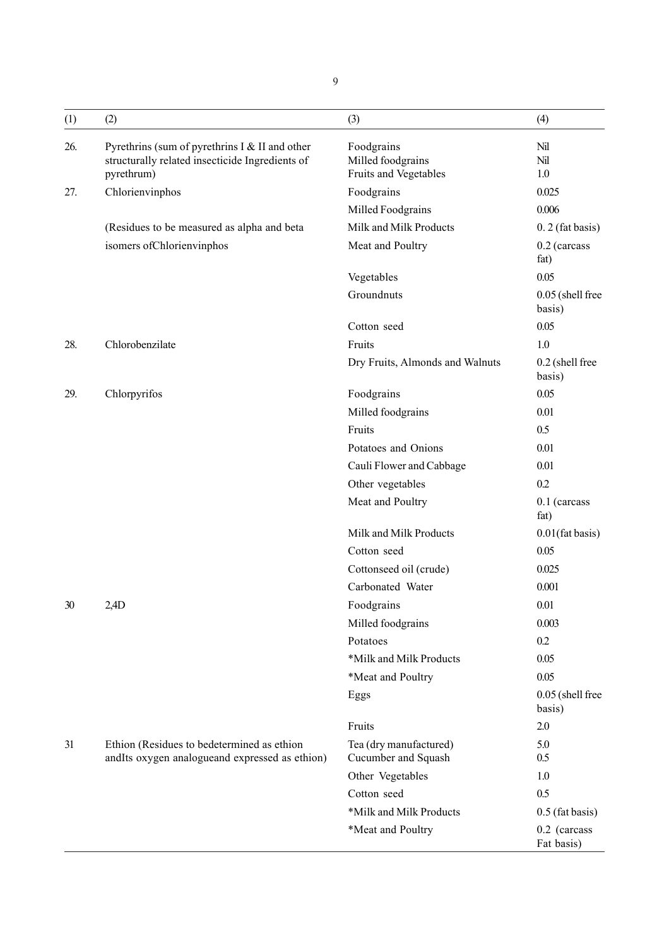| (1) | (2)                                                                                                             | (3)                                                      | (4)                        |
|-----|-----------------------------------------------------------------------------------------------------------------|----------------------------------------------------------|----------------------------|
| 26. | Pyrethrins (sum of pyrethrins I & II and other<br>structurally related insecticide Ingredients of<br>pyrethrum) | Foodgrains<br>Milled foodgrains<br>Fruits and Vegetables | Nil<br>Nil<br>1.0          |
| 27. | Chlorienvinphos                                                                                                 | Foodgrains                                               | 0.025                      |
|     |                                                                                                                 | Milled Foodgrains                                        | 0.006                      |
|     | (Residues to be measured as alpha and beta                                                                      | Milk and Milk Products                                   | $0.2$ (fat basis)          |
|     | isomers of Chlorienvinphos                                                                                      | Meat and Poultry                                         | 0.2 (carcass<br>fat)       |
|     |                                                                                                                 | Vegetables                                               | 0.05                       |
|     |                                                                                                                 | Groundnuts                                               | 0.05 (shell free<br>basis) |
|     |                                                                                                                 | Cotton seed                                              | 0.05                       |
| 28. | Chlorobenzilate                                                                                                 | Fruits                                                   | 1.0                        |
|     |                                                                                                                 | Dry Fruits, Almonds and Walnuts                          | 0.2 (shell free<br>basis)  |
| 29. | Chlorpyrifos                                                                                                    | Foodgrains                                               | 0.05                       |
|     |                                                                                                                 | Milled foodgrains                                        | 0.01                       |
|     |                                                                                                                 | Fruits                                                   | 0.5                        |
|     |                                                                                                                 | Potatoes and Onions                                      | 0.01                       |
|     |                                                                                                                 | Cauli Flower and Cabbage                                 | 0.01                       |
|     |                                                                                                                 | Other vegetables                                         | 0.2                        |
|     |                                                                                                                 | Meat and Poultry                                         | $0.1$ (carcass<br>fat)     |
|     |                                                                                                                 | Milk and Milk Products                                   | $0.01$ (fat basis)         |
|     |                                                                                                                 | Cotton seed                                              | 0.05                       |
|     |                                                                                                                 | Cottonseed oil (crude)                                   | 0.025                      |
|     |                                                                                                                 | Carbonated Water                                         | 0.001                      |
| 30  | 2,4D                                                                                                            | Foodgrains                                               | 0.01                       |
|     |                                                                                                                 | Milled foodgrains                                        | 0.003                      |
|     |                                                                                                                 | Potatoes                                                 | 0.2                        |
|     |                                                                                                                 | *Milk and Milk Products                                  | 0.05                       |
|     |                                                                                                                 | *Meat and Poultry                                        | 0.05                       |
|     |                                                                                                                 | Eggs                                                     | 0.05 (shell free<br>basis) |
|     |                                                                                                                 | Fruits                                                   | $2.0\,$                    |
| 31  | Ethion (Residues to bedetermined as ethion<br>andIts oxygen analogueand expressed as ethion)                    | Tea (dry manufactured)<br>Cucumber and Squash            | 5.0<br>0.5                 |
|     |                                                                                                                 | Other Vegetables                                         | 1.0                        |
|     |                                                                                                                 | Cotton seed                                              | 0.5                        |
|     |                                                                                                                 | *Milk and Milk Products                                  | $0.5$ (fat basis)          |
|     |                                                                                                                 | *Meat and Poultry                                        | 0.2 (carcass<br>Fat basis) |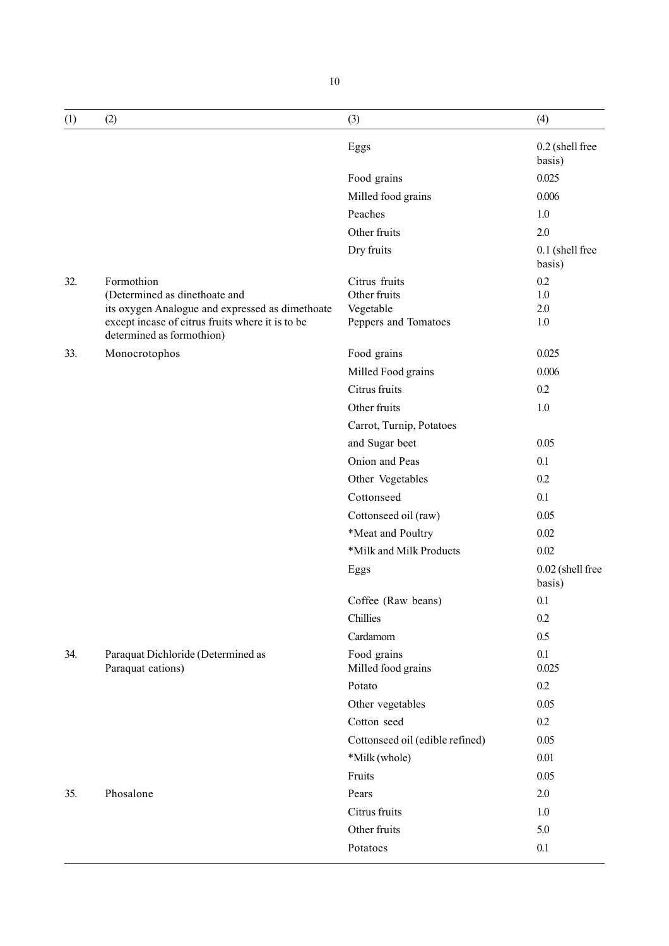| (1) | (2)                                                                                                                              | (3)                               | (4)                        |
|-----|----------------------------------------------------------------------------------------------------------------------------------|-----------------------------------|----------------------------|
|     |                                                                                                                                  | Eggs                              | 0.2 (shell free<br>basis)  |
|     |                                                                                                                                  | Food grains                       | 0.025                      |
|     |                                                                                                                                  | Milled food grains                | 0.006                      |
|     |                                                                                                                                  | Peaches                           | 1.0                        |
|     |                                                                                                                                  | Other fruits                      | 2.0                        |
|     |                                                                                                                                  | Dry fruits                        | 0.1 (shell free<br>basis)  |
| 32. | Formothion                                                                                                                       | Citrus fruits                     | 0.2                        |
|     | (Determined as dinethoate and                                                                                                    | Other fruits                      | 1.0                        |
|     | its oxygen Analogue and expressed as dimethoate<br>except incase of citrus fruits where it is to be<br>determined as formothion) | Vegetable<br>Peppers and Tomatoes | 2.0<br>1.0                 |
| 33. | Monocrotophos                                                                                                                    | Food grains                       | 0.025                      |
|     |                                                                                                                                  | Milled Food grains                | 0.006                      |
|     |                                                                                                                                  | Citrus fruits                     | 0.2                        |
|     |                                                                                                                                  | Other fruits                      | 1.0                        |
|     |                                                                                                                                  | Carrot, Turnip, Potatoes          |                            |
|     |                                                                                                                                  | and Sugar beet                    | 0.05                       |
|     |                                                                                                                                  | Onion and Peas                    | 0.1                        |
|     |                                                                                                                                  | Other Vegetables                  | 0.2                        |
|     |                                                                                                                                  | Cottonseed                        | 0.1                        |
|     |                                                                                                                                  | Cottonseed oil (raw)              | 0.05                       |
|     |                                                                                                                                  | *Meat and Poultry                 | 0.02                       |
|     |                                                                                                                                  | *Milk and Milk Products           | 0.02                       |
|     |                                                                                                                                  | Eggs                              | 0.02 (shell free<br>basis) |
|     |                                                                                                                                  | Coffee (Raw beans)                | 0.1                        |
|     |                                                                                                                                  | Chillies                          | 0.2                        |
|     |                                                                                                                                  | Cardamom                          | 0.5                        |
| 34. | Paraquat Dichloride (Determined as<br>Paraquat cations)                                                                          | Food grains<br>Milled food grains | 0.1<br>0.025               |
|     |                                                                                                                                  | Potato                            | 0.2                        |
|     |                                                                                                                                  | Other vegetables                  | 0.05                       |
|     |                                                                                                                                  | Cotton seed                       | 0.2                        |
|     |                                                                                                                                  | Cottonseed oil (edible refined)   | 0.05                       |
|     |                                                                                                                                  | *Milk (whole)                     | 0.01                       |
|     |                                                                                                                                  | Fruits                            | 0.05                       |
| 35. | Phosalone                                                                                                                        | Pears                             | 2.0                        |
|     |                                                                                                                                  | Citrus fruits                     | 1.0                        |
|     |                                                                                                                                  | Other fruits                      | 5.0                        |
|     |                                                                                                                                  | Potatoes                          | 0.1                        |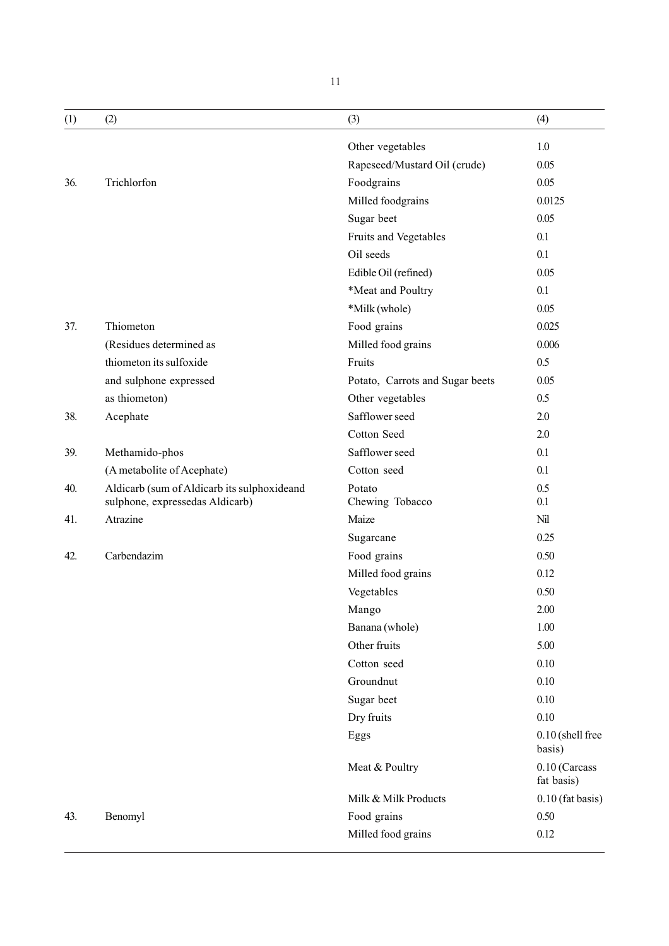| (1) | (2)                                         | (3)                             | (4)                         |
|-----|---------------------------------------------|---------------------------------|-----------------------------|
|     |                                             | Other vegetables                | 1.0                         |
|     |                                             | Rapeseed/Mustard Oil (crude)    | 0.05                        |
| 36. | Trichlorfon                                 | Foodgrains                      | 0.05                        |
|     |                                             | Milled foodgrains               | 0.0125                      |
|     |                                             | Sugar beet                      | 0.05                        |
|     |                                             | Fruits and Vegetables           | 0.1                         |
|     |                                             | Oil seeds                       | 0.1                         |
|     |                                             | Edible Oil (refined)            | 0.05                        |
|     |                                             | *Meat and Poultry               | 0.1                         |
|     |                                             | *Milk (whole)                   | 0.05                        |
| 37. | Thiometon                                   | Food grains                     | 0.025                       |
|     | (Residues determined as                     | Milled food grains              | 0.006                       |
|     | thiometon its sulfoxide                     | Fruits                          | 0.5                         |
|     | and sulphone expressed                      | Potato, Carrots and Sugar beets | 0.05                        |
|     | as thiometon)                               | Other vegetables                | 0.5                         |
| 38. | Acephate                                    | Safflower seed                  | 2.0                         |
|     |                                             | Cotton Seed                     | 2.0                         |
| 39. | Methamido-phos                              | Safflower seed                  | 0.1                         |
|     | (A metabolite of Acephate)                  | Cotton seed                     | 0.1                         |
| 40. | Aldicarb (sum of Aldicarb its sulphoxideand | Potato                          | 0.5                         |
|     | sulphone, expressedas Aldicarb)             | Chewing Tobacco                 | 0.1                         |
| 41. | Atrazine                                    | Maize                           | Nil                         |
|     |                                             | Sugarcane                       | 0.25                        |
| 42. | Carbendazim                                 | Food grains                     | 0.50                        |
|     |                                             | Milled food grains              | 0.12                        |
|     |                                             | Vegetables                      | 0.50                        |
|     |                                             | Mango                           | $2.00\,$                    |
|     |                                             | Banana (whole)                  | 1.00                        |
|     |                                             | Other fruits                    | 5.00                        |
|     |                                             | Cotton seed                     | 0.10                        |
|     |                                             | Groundnut                       | 0.10                        |
|     |                                             | Sugar beet                      | 0.10                        |
|     |                                             | Dry fruits                      | 0.10                        |
|     |                                             | Eggs                            | 0.10 (shell free<br>basis)  |
|     |                                             | Meat & Poultry                  | 0.10 (Carcass<br>fat basis) |
|     |                                             | Milk & Milk Products            | $0.10$ (fat basis)          |
| 43. | Benomyl                                     | Food grains                     | 0.50                        |
|     |                                             | Milled food grains              | 0.12                        |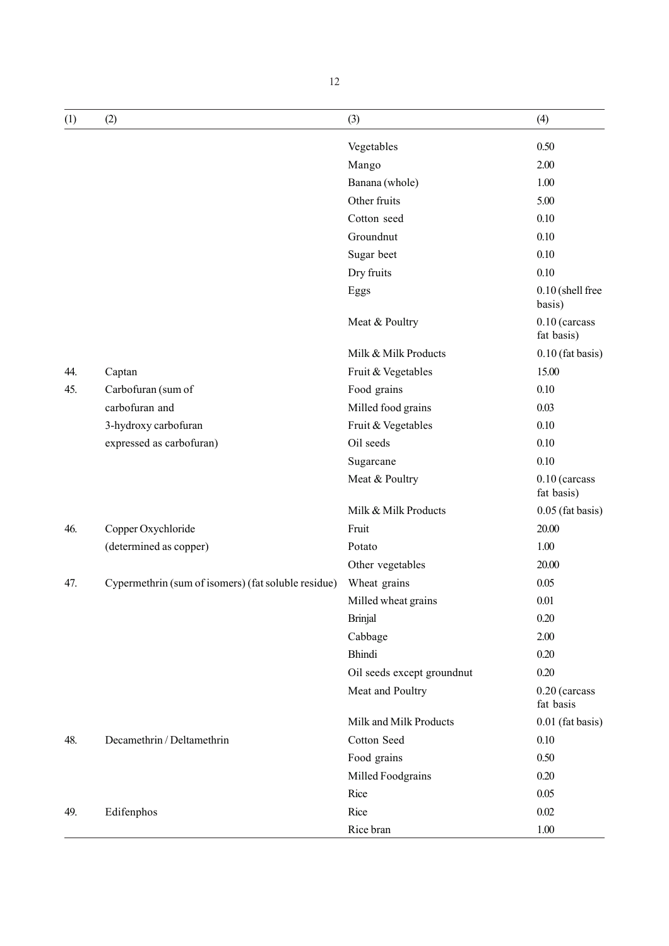| (1) | (2)                                                 | (3)                        | (4)                           |
|-----|-----------------------------------------------------|----------------------------|-------------------------------|
|     |                                                     | Vegetables                 | 0.50                          |
|     |                                                     | Mango                      | 2.00                          |
|     |                                                     | Banana (whole)             | 1.00                          |
|     |                                                     | Other fruits               | 5.00                          |
|     |                                                     | Cotton seed                | 0.10                          |
|     |                                                     | Groundnut                  | 0.10                          |
|     |                                                     | Sugar beet                 | 0.10                          |
|     |                                                     | Dry fruits                 | 0.10                          |
|     |                                                     | Eggs                       | 0.10 (shell free<br>basis)    |
|     |                                                     | Meat & Poultry             | $0.10$ (carcass<br>fat basis) |
|     |                                                     | Milk & Milk Products       | $0.10$ (fat basis)            |
| 44. | Captan                                              | Fruit & Vegetables         | 15.00                         |
| 45. | Carbofuran (sum of                                  | Food grains                | 0.10                          |
|     | carbofuran and                                      | Milled food grains         | 0.03                          |
|     | 3-hydroxy carbofuran                                | Fruit & Vegetables         | 0.10                          |
|     | expressed as carbofuran)                            | Oil seeds                  | 0.10                          |
|     |                                                     | Sugarcane                  | 0.10                          |
|     |                                                     | Meat & Poultry             | $0.10$ (carcass<br>fat basis) |
|     |                                                     | Milk & Milk Products       | $0.05$ (fat basis)            |
| 46. | Copper Oxychloride                                  | Fruit                      | 20.00                         |
|     | (determined as copper)                              | Potato                     | 1.00                          |
|     |                                                     | Other vegetables           | 20.00                         |
| 47. | Cypermethrin (sum of isomers) (fat soluble residue) | Wheat grains               | 0.05                          |
|     |                                                     | Milled wheat grains        | 0.01                          |
|     |                                                     | <b>Brinjal</b>             | 0.20                          |
|     |                                                     | Cabbage                    | 2.00                          |
|     |                                                     | <b>Bhindi</b>              | 0.20                          |
|     |                                                     | Oil seeds except groundnut | 0.20                          |
|     |                                                     | Meat and Poultry           | 0.20 (carcass<br>fat basis    |
|     |                                                     | Milk and Milk Products     | 0.01 (fat basis)              |
| 48. | Decamethrin / Deltamethrin                          | Cotton Seed                | 0.10                          |
|     |                                                     | Food grains                | 0.50                          |
|     |                                                     | Milled Foodgrains          | 0.20                          |
|     |                                                     | Rice                       | 0.05                          |
| 49. | Edifenphos                                          | Rice                       | $0.02\,$                      |
|     |                                                     | Rice bran                  | 1.00                          |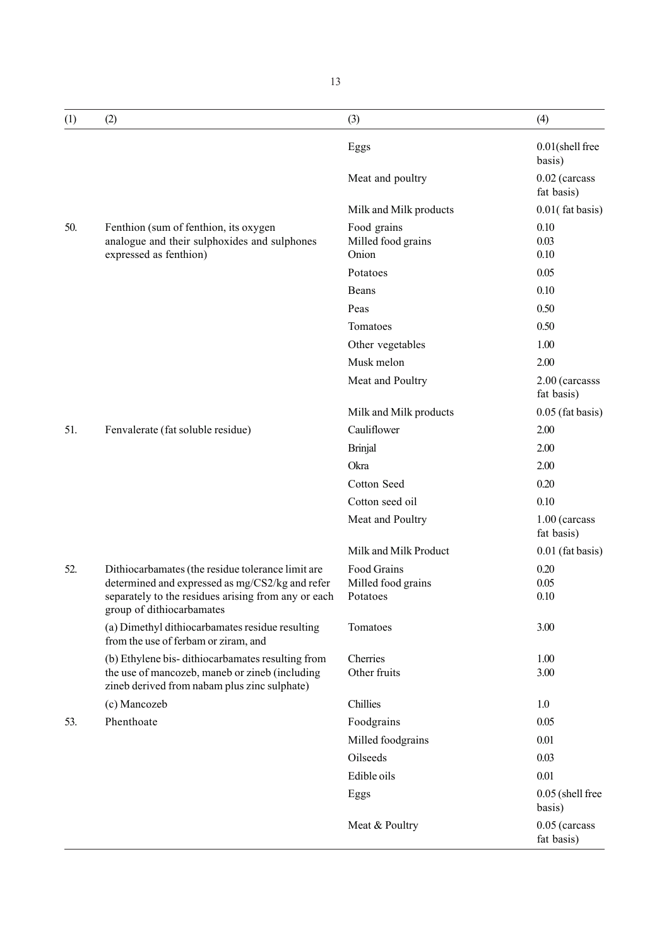| (1) | (2)                                                                                                                                                                                      | (3)                                           | (4)                           |
|-----|------------------------------------------------------------------------------------------------------------------------------------------------------------------------------------------|-----------------------------------------------|-------------------------------|
|     |                                                                                                                                                                                          | Eggs                                          | $0.01$ (shell free<br>basis)  |
|     |                                                                                                                                                                                          | Meat and poultry                              | $0.02$ (carcass<br>fat basis) |
|     |                                                                                                                                                                                          | Milk and Milk products                        | $0.01$ (fat basis)            |
| 50. | Fenthion (sum of fenthion, its oxygen<br>analogue and their sulphoxides and sulphones<br>expressed as fenthion)                                                                          | Food grains<br>Milled food grains<br>Onion    | 0.10<br>0.03<br>0.10          |
|     |                                                                                                                                                                                          | Potatoes                                      | 0.05                          |
|     |                                                                                                                                                                                          | Beans                                         | 0.10                          |
|     |                                                                                                                                                                                          | Peas                                          | 0.50                          |
|     |                                                                                                                                                                                          | Tomatoes                                      | 0.50                          |
|     |                                                                                                                                                                                          | Other vegetables                              | 1.00                          |
|     |                                                                                                                                                                                          | Musk melon                                    | 2.00                          |
|     |                                                                                                                                                                                          | Meat and Poultry                              | 2.00 (carcasss<br>fat basis)  |
|     |                                                                                                                                                                                          | Milk and Milk products                        | $0.05$ (fat basis)            |
| 51. | Fenvalerate (fat soluble residue)                                                                                                                                                        | Cauliflower                                   | 2.00                          |
|     |                                                                                                                                                                                          | <b>Brinjal</b>                                | 2.00                          |
|     |                                                                                                                                                                                          | Okra                                          | 2.00                          |
|     |                                                                                                                                                                                          | Cotton Seed                                   | 0.20                          |
|     |                                                                                                                                                                                          | Cotton seed oil                               | 0.10                          |
|     |                                                                                                                                                                                          | Meat and Poultry                              | 1.00 (carcass<br>fat basis)   |
|     |                                                                                                                                                                                          | Milk and Milk Product                         | $0.01$ (fat basis)            |
| 52. | Dithiocarbamates (the residue tolerance limit are<br>determined and expressed as mg/CS2/kg and refer<br>separately to the residues arising from any or each<br>group of dithiocarbamates | Food Grains<br>Milled food grains<br>Potatoes | 0.20<br>0.05<br>0.10          |
|     | (a) Dimethyl dithiocarbamates residue resulting<br>from the use of ferbam or ziram, and                                                                                                  | Tomatoes                                      | 3.00                          |
|     | (b) Ethylene bis-dithiocarbamates resulting from<br>the use of mancozeb, maneb or zineb (including<br>zineb derived from nabam plus zinc sulphate)                                       | Cherries<br>Other fruits                      | 1.00<br>3.00                  |
|     | (c) Mancozeb                                                                                                                                                                             | Chillies                                      | 1.0                           |
| 53. | Phenthoate                                                                                                                                                                               | Foodgrains                                    | 0.05                          |
|     |                                                                                                                                                                                          | Milled foodgrains                             | 0.01                          |
|     |                                                                                                                                                                                          | Oilseeds                                      | 0.03                          |
|     |                                                                                                                                                                                          | Edible oils                                   | 0.01                          |
|     |                                                                                                                                                                                          | Eggs                                          | 0.05 (shell free<br>basis)    |
|     |                                                                                                                                                                                          | Meat & Poultry                                | $0.05$ (carcass<br>fat basis) |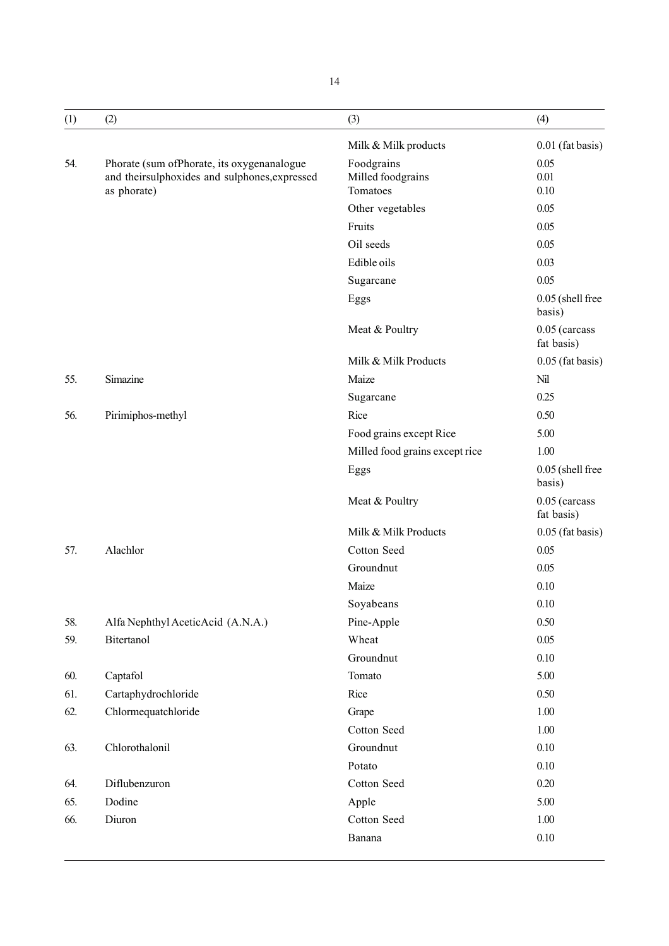| (1) | (2)                                                                                                        | (3)                                         | (4)                         |
|-----|------------------------------------------------------------------------------------------------------------|---------------------------------------------|-----------------------------|
|     |                                                                                                            | Milk & Milk products                        | 0.01 (fat basis)            |
| 54. | Phorate (sum ofPhorate, its oxygenanalogue<br>and theirsulphoxides and sulphones, expressed<br>as phorate) | Foodgrains<br>Milled foodgrains<br>Tomatoes | 0.05<br>0.01<br>0.10        |
|     |                                                                                                            | Other vegetables                            | 0.05                        |
|     |                                                                                                            | Fruits                                      | 0.05                        |
|     |                                                                                                            | Oil seeds                                   | 0.05                        |
|     |                                                                                                            | Edible oils                                 | 0.03                        |
|     |                                                                                                            | Sugarcane                                   | 0.05                        |
|     |                                                                                                            | Eggs                                        | 0.05 (shell free<br>basis)  |
|     |                                                                                                            | Meat & Poultry                              | 0.05 (carcass<br>fat basis) |
|     |                                                                                                            | Milk & Milk Products                        | $0.05$ (fat basis)          |
| 55. | Simazine                                                                                                   | Maize                                       | Nil                         |
|     |                                                                                                            | Sugarcane                                   | 0.25                        |
| 56. | Pirimiphos-methyl                                                                                          | Rice                                        | 0.50                        |
|     |                                                                                                            | Food grains except Rice                     | 5.00                        |
|     |                                                                                                            | Milled food grains except rice              | 1.00                        |
|     |                                                                                                            | Eggs                                        | 0.05 (shell free<br>basis)  |
|     |                                                                                                            | Meat & Poultry                              | 0.05 (carcass<br>fat basis) |
|     |                                                                                                            | Milk & Milk Products                        | $0.05$ (fat basis)          |
| 57. | Alachlor                                                                                                   | Cotton Seed                                 | 0.05                        |
|     |                                                                                                            | Groundnut                                   | 0.05                        |
|     |                                                                                                            | Maize                                       | 0.10                        |
|     |                                                                                                            | Soyabeans                                   | 0.10                        |
| 58. | Alfa Nephthyl AceticAcid (A.N.A.)                                                                          | Pine-Apple                                  | 0.50                        |
| 59. | Bitertanol                                                                                                 | Wheat                                       | 0.05                        |
|     |                                                                                                            | Groundnut                                   | 0.10                        |
| 60. | Captafol                                                                                                   | Tomato                                      | 5.00                        |
| 61. | Cartaphydrochloride                                                                                        | Rice                                        | 0.50                        |
| 62. | Chlormequatchloride                                                                                        | Grape                                       | 1.00                        |
|     |                                                                                                            | Cotton Seed                                 | 1.00                        |
| 63. | Chlorothalonil                                                                                             | Groundnut                                   | 0.10                        |
|     |                                                                                                            | Potato                                      | 0.10                        |
| 64. | Diflubenzuron                                                                                              | Cotton Seed                                 | 0.20                        |
| 65. | Dodine                                                                                                     | Apple                                       | 5.00                        |
| 66. | Diuron                                                                                                     | Cotton Seed                                 | 1.00                        |
|     |                                                                                                            | Banana                                      | 0.10                        |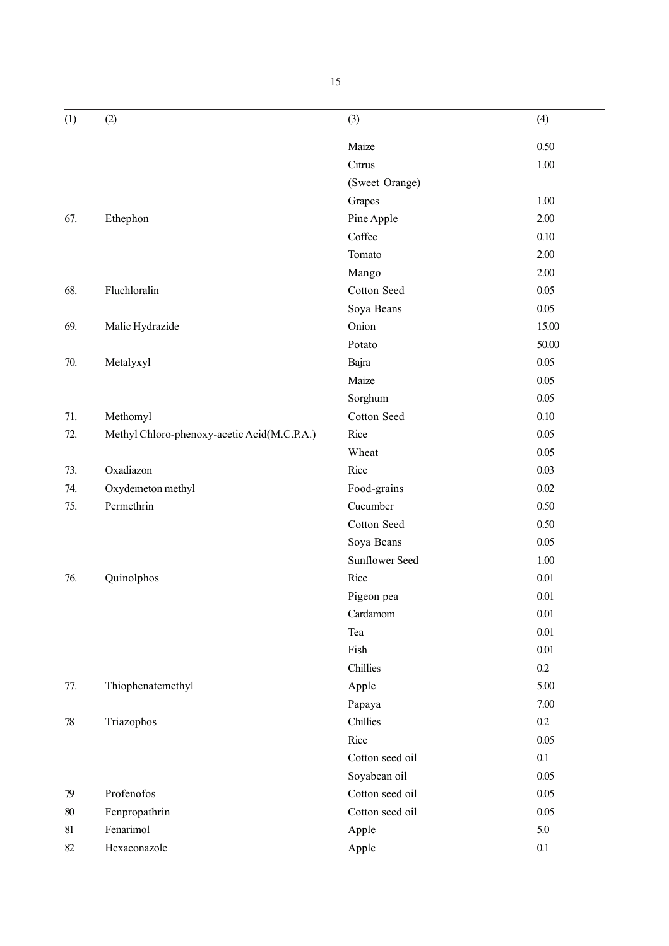| (1)    | (2)                                         | (3)             | (4)     |
|--------|---------------------------------------------|-----------------|---------|
|        |                                             | Maize           | 0.50    |
|        |                                             | Citrus          | 1.00    |
|        |                                             | (Sweet Orange)  |         |
|        |                                             | Grapes          | 1.00    |
| 67.    | Ethephon                                    | Pine Apple      | 2.00    |
|        |                                             | Coffee          | 0.10    |
|        |                                             | Tomato          | 2.00    |
|        |                                             | Mango           | 2.00    |
| 68.    | Fluchloralin                                | Cotton Seed     | 0.05    |
|        |                                             | Soya Beans      | 0.05    |
| 69.    | Malic Hydrazide                             | Onion           | 15.00   |
|        |                                             | Potato          | 50.00   |
| 70.    | Metalyxyl                                   | Bajra           | 0.05    |
|        |                                             | Maize           | 0.05    |
|        |                                             | Sorghum         | 0.05    |
| 71.    | Methomyl                                    | Cotton Seed     | 0.10    |
| 72.    | Methyl Chloro-phenoxy-acetic Acid(M.C.P.A.) | Rice            | 0.05    |
|        |                                             | Wheat           | 0.05    |
| 73.    | Oxadiazon                                   | Rice            | 0.03    |
| 74.    | Oxydemeton methyl                           | Food-grains     | 0.02    |
| 75.    | Permethrin                                  | Cucumber        | 0.50    |
|        |                                             | Cotton Seed     | 0.50    |
|        |                                             | Soya Beans      | 0.05    |
|        |                                             | Sunflower Seed  | 1.00    |
| 76.    | Quinolphos                                  | Rice            | 0.01    |
|        |                                             | Pigeon pea      | 0.01    |
|        |                                             | Cardamom        | 0.01    |
|        |                                             | Tea             | 0.01    |
|        |                                             | Fish            | 0.01    |
|        |                                             | Chillies        | 0.2     |
| 77.    | Thiophenatemethyl                           | Apple           | 5.00    |
|        |                                             | Papaya          | 7.00    |
| 78     | Triazophos                                  | Chillies        | 0.2     |
|        |                                             | Rice            | 0.05    |
|        |                                             | Cotton seed oil | 0.1     |
|        |                                             | Soyabean oil    | 0.05    |
| 79     | Profenofos                                  | Cotton seed oil | 0.05    |
| $80\,$ | Fenpropathrin                               | Cotton seed oil | 0.05    |
| 81     | Fenarimol                                   | Apple           | 5.0     |
| 82     | Hexaconazole                                | Apple           | $0.1\,$ |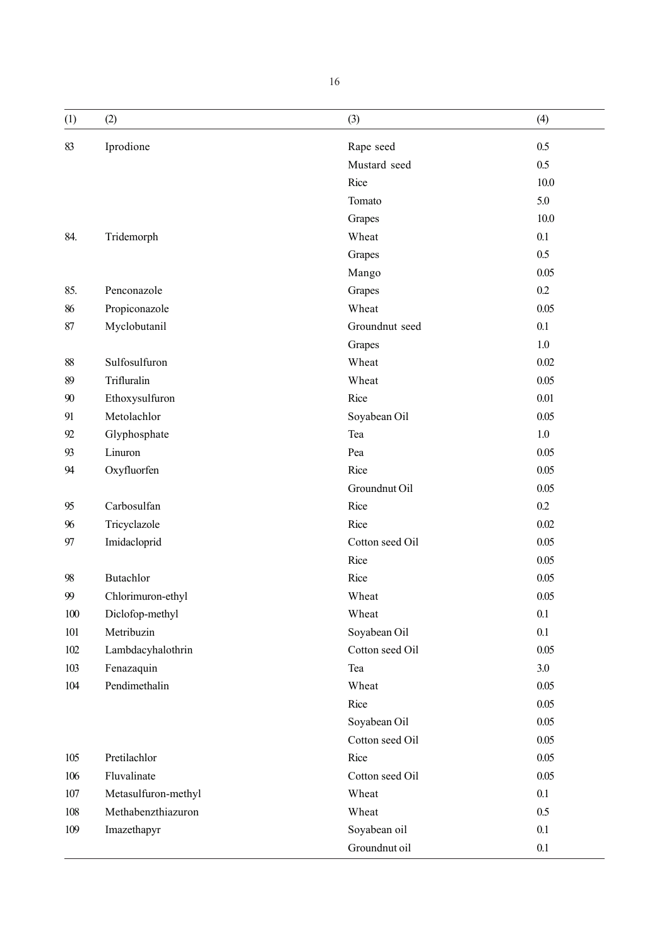| (1)   | (2)                 | (3)             | (4)      |
|-------|---------------------|-----------------|----------|
| 83    | Iprodione           | Rape seed       | 0.5      |
|       |                     | Mustard seed    | 0.5      |
|       |                     | Rice            | 10.0     |
|       |                     | Tomato          | 5.0      |
|       |                     | Grapes          | 10.0     |
| 84.   | Tridemorph          | Wheat           | 0.1      |
|       |                     | Grapes          | 0.5      |
|       |                     | Mango           | 0.05     |
| 85.   | Penconazole         | Grapes          | 0.2      |
| 86    | Propiconazole       | Wheat           | 0.05     |
| 87    | Myclobutanil        | Groundnut seed  | 0.1      |
|       |                     | Grapes          | 1.0      |
| 88    | Sulfosulfuron       | Wheat           | $0.02\,$ |
| 89    | Trifluralin         | Wheat           | 0.05     |
| 90    | Ethoxysulfuron      | Rice            | 0.01     |
| 91    | Metolachlor         | Soyabean Oil    | 0.05     |
| 92    | Glyphosphate        | Tea             | 1.0      |
| 93    | Linuron             | Pea             | 0.05     |
| 94    | Oxyfluorfen         | Rice            | 0.05     |
|       |                     | Groundnut Oil   | 0.05     |
| 95    | Carbosulfan         | Rice            | 0.2      |
| 96    | Tricyclazole        | Rice            | $0.02\,$ |
| 97    | Imidacloprid        | Cotton seed Oil | 0.05     |
|       |                     | Rice            | 0.05     |
| 98    | Butachlor           | Rice            | 0.05     |
| 99    | Chlorimuron-ethyl   | Wheat           | 0.05     |
| 100   | Diclofop-methyl     | Wheat           | 0.1      |
| 101   | Metribuzin          | Soyabean Oil    | 0.1      |
| 102   | Lambdacyhalothrin   | Cotton seed Oil | 0.05     |
| 103   | Fenazaquin          | Tea             | $3.0\,$  |
| $104$ | Pendimethalin       | Wheat           | 0.05     |
|       |                     | Rice            | 0.05     |
|       |                     | Soyabean Oil    | 0.05     |
|       |                     | Cotton seed Oil | 0.05     |
| 105   | Pretilachlor        | Rice            | 0.05     |
| 106   | Fluvalinate         | Cotton seed Oil | 0.05     |
| 107   | Metasulfuron-methyl | Wheat           | 0.1      |
| 108   | Methabenzthiazuron  | Wheat           | 0.5      |
| 109   | Imazethapyr         | Soyabean oil    | 0.1      |
|       |                     | Groundnut oil   | 0.1      |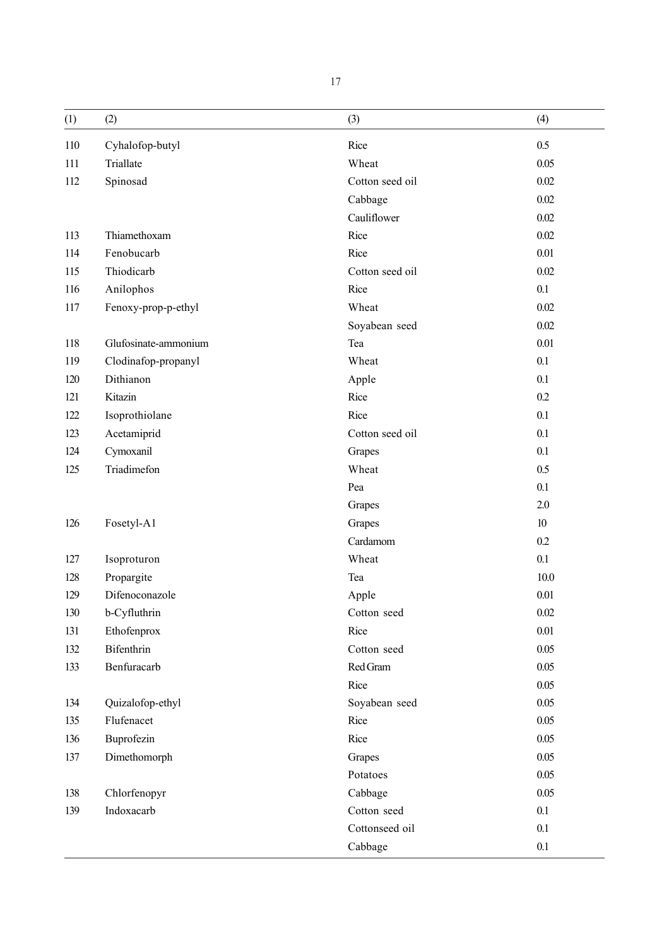| (1) | (2)                  | (3)             | (4)      |
|-----|----------------------|-----------------|----------|
| 110 | Cyhalofop-butyl      | Rice            | 0.5      |
| 111 | Triallate            | Wheat           | 0.05     |
| 112 | Spinosad             | Cotton seed oil | 0.02     |
|     |                      | Cabbage         | 0.02     |
|     |                      | Cauliflower     | 0.02     |
| 113 | Thiamethoxam         | Rice            | 0.02     |
| 114 | Fenobucarb           | Rice            | 0.01     |
| 115 | Thiodicarb           | Cotton seed oil | 0.02     |
| 116 | Anilophos            | Rice            | 0.1      |
| 117 | Fenoxy-prop-p-ethyl  | Wheat           | 0.02     |
|     |                      | Soyabean seed   | 0.02     |
| 118 | Glufosinate-ammonium | Tea             | 0.01     |
| 119 | Clodinafop-propanyl  | Wheat           | 0.1      |
| 120 | Dithianon            | Apple           | 0.1      |
| 121 | Kitazin              | Rice            | 0.2      |
| 122 | Isoprothiolane       | Rice            | 0.1      |
| 123 | Acetamiprid          | Cotton seed oil | 0.1      |
| 124 | Cymoxanil            | Grapes          | 0.1      |
| 125 | Triadimefon          | Wheat           | 0.5      |
|     |                      | Pea             | 0.1      |
|     |                      | Grapes          | 2.0      |
| 126 | Fosetyl-A1           | Grapes          | 10       |
|     |                      | Cardamom        | 0.2      |
| 127 | Isoproturon          | Wheat           | 0.1      |
| 128 | Propargite           | Tea             | 10.0     |
| 129 | Difenoconazole       | Apple           | 0.01     |
| 130 | b-Cyfluthrin         | Cotton seed     | $0.02\,$ |
| 131 | Ethofenprox          | Rice            | 0.01     |
| 132 | Bifenthrin           | Cotton seed     | 0.05     |
| 133 | Benfuracarb          | Red Gram        | 0.05     |
|     |                      | Rice            | 0.05     |
| 134 | Quizalofop-ethyl     | Soyabean seed   | 0.05     |
| 135 | Flufenacet           | Rice            | 0.05     |
| 136 | Buprofezin           | Rice            | 0.05     |
| 137 | Dimethomorph         | Grapes          | 0.05     |
|     |                      | Potatoes        | 0.05     |
| 138 | Chlorfenopyr         | Cabbage         | 0.05     |
| 139 | Indoxacarb           | Cotton seed     | 0.1      |
|     |                      | Cottonseed oil  | 0.1      |
|     |                      | Cabbage         | 0.1      |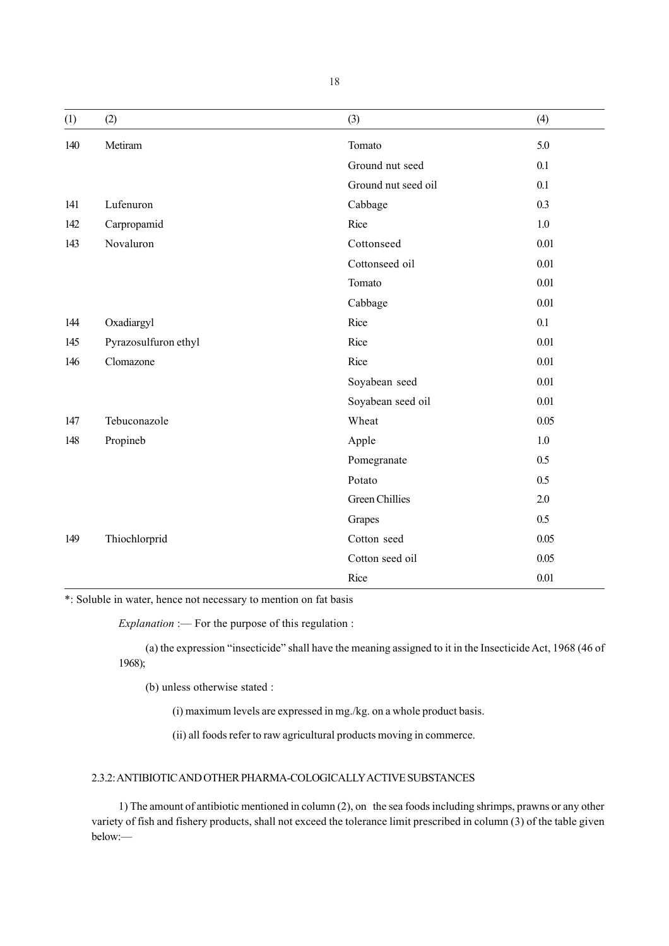| (1) | (2)                  | (3)                   | (4)     |
|-----|----------------------|-----------------------|---------|
| 140 | Metiram              | Tomato                | 5.0     |
|     |                      | Ground nut seed       | 0.1     |
|     |                      | Ground nut seed oil   | 0.1     |
| 141 | Lufenuron            | Cabbage               | 0.3     |
| 142 | Carpropamid          | Rice                  | $1.0\,$ |
| 143 | Novaluron            | Cottonseed            | 0.01    |
|     |                      | Cottonseed oil        | 0.01    |
|     |                      | Tomato                | 0.01    |
|     |                      | Cabbage               | 0.01    |
| 144 | Oxadiargyl           | Rice                  | 0.1     |
| 145 | Pyrazosulfuron ethyl | Rice                  | 0.01    |
| 146 | Clomazone            | Rice                  | 0.01    |
|     |                      | Soyabean seed         | 0.01    |
|     |                      | Soyabean seed oil     | 0.01    |
| 147 | Tebuconazole         | Wheat                 | 0.05    |
| 148 | Propineb             | Apple                 | 1.0     |
|     |                      | Pomegranate           | 0.5     |
|     |                      | Potato                | 0.5     |
|     |                      | <b>Green Chillies</b> | 2.0     |
|     |                      | Grapes                | 0.5     |
| 149 | Thiochlorprid        | Cotton seed           | 0.05    |
|     |                      | Cotton seed oil       | 0.05    |
|     |                      | Rice                  | 0.01    |

\*: Soluble in water, hence not necessary to mention on fat basis

*Explanation* :— For the purpose of this regulation :

(a) the expression "insecticide" shall have the meaning assigned to it in the Insecticide Act, 1968 (46 of 1968);

(b) unless otherwise stated :

(i) maximum levels are expressed in mg./kg. on a whole product basis.

(ii) all foods refer to raw agricultural products moving in commerce.

# 2.3.2: ANTIBIOTIC AND OTHER PHARMA-COLOGICALLY ACTIVE SUBSTANCES

1) The amount of antibiotic mentioned in column (2), on the sea foods including shrimps, prawns or any other variety of fish and fishery products, shall not exceed the tolerance limit prescribed in column (3) of the table given below:—